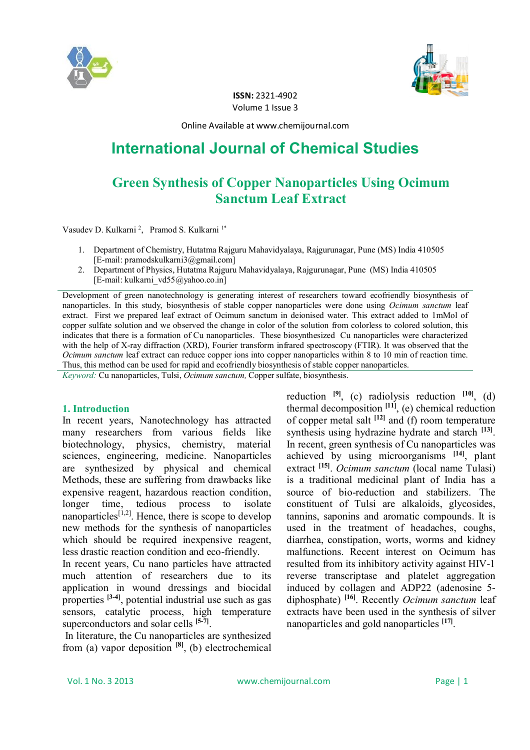



**ISSN:** 2321-4902 Volume 1 Issue 3

Online Available at www.chemijournal.com

# **International Journal of Chemical Studies**

## **Green Synthesis of Copper Nanoparticles Using Ocimum Sanctum Leaf Extract**

Vasudev D. Kulkarni<sup>2</sup>, Pramod S. Kulkarni<sup>1\*</sup>

- 1. Department of Chemistry, Hutatma Rajguru Mahavidyalaya, Rajgurunagar, Pune (MS) India 410505 [E-mail: pramodskulkarni3@gmail.com]
- 2. Department of Physics, Hutatma Rajguru Mahavidyalaya, Rajgurunagar, Pune (MS) India 410505 [E-mail: kulkarni\_vd55@yahoo.co.in]

Development of green nanotechnology is generating interest of researchers toward ecofriendly biosynthesis of nanoparticles. In this study, biosynthesis of stable copper nanoparticles were done using *Ocimum sanctum* leaf extract. First we prepared leaf extract of Ocimum sanctum in deionised water. This extract added to 1mMol of copper sulfate solution and we observed the change in color of the solution from colorless to colored solution, this indicates that there is a formation of Cu nanoparticles. These biosynthesized Cu nanoparticles were characterized with the help of X-ray diffraction (XRD), Fourier transform infrared spectroscopy (FTIR). It was observed that the *Ocimum sanctum* leaf extract can reduce copper ions into copper nanoparticles within 8 to 10 min of reaction time. Thus, this method can be used for rapid and ecofriendly biosynthesis of stable copper nanoparticles.

*Keyword:* Cu nanoparticles, Tulsi, *Ocimum sanctum,* Copper sulfate, biosynthesis.

#### **1. Introduction**

In recent years, Nanotechnology has attracted many researchers from various fields like biotechnology, physics, chemistry, material sciences, engineering, medicine. Nanoparticles are synthesized by physical and chemical Methods, these are suffering from drawbacks like expensive reagent, hazardous reaction condition, longer time, tedious process to isolate nanoparticles<sup> $[1,2]$ </sup>. Hence, there is scope to develop new methods for the synthesis of nanoparticles which should be required inexpensive reagent, less drastic reaction condition and eco-friendly.

In recent years, Cu nano particles have attracted much attention of researchers due to its application in wound dressings and biocidal properties <sup>[3-4]</sup>, potential industrial use such as gas sensors, catalytic process, high temperature superconductors and solar cells **[5-7]** .

In literature, the Cu nanoparticles are synthesized from (a) vapor deposition **[8]**, (b) electrochemical reduction  $[9]$ , (c) radiolysis reduction  $[10]$ , (d) thermal decomposition **[11]**, (e) chemical reduction of copper metal salt **[12]** and (f) room temperature synthesis using hydrazine hydrate and starch <sup>[13]</sup>. In recent, green synthesis of Cu nanoparticles was achieved by using microorganisms **[14]**, plant extract **[15]** . *Ocimum sanctum* (local name Tulasi) is a traditional medicinal plant of India has a source of bio-reduction and stabilizers. The constituent of Tulsi are alkaloids, glycosides, tannins, saponins and aromatic compounds. It is used in the treatment of headaches, coughs, diarrhea, constipation, worts, worms and kidney malfunctions. Recent interest on Ocimum has resulted from its inhibitory activity against HIV-1 reverse transcriptase and platelet aggregation induced by collagen and ADP22 (adenosine 5 diphosphate) **[16]**. Recently *Ocimum sanctum* leaf extracts have been used in the synthesis of silver nanoparticles and gold nanoparticles **[17]** .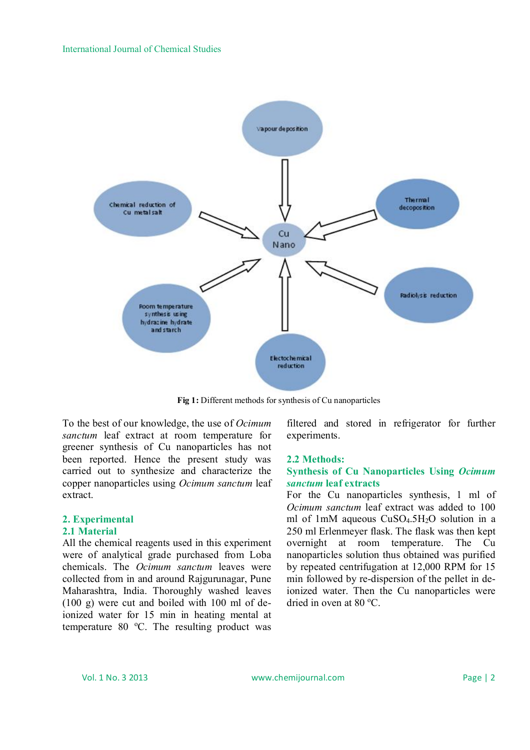

**Fig 1:** Different methods for synthesis of Cu nanoparticles

To the best of our knowledge, the use of *Ocimum sanctum* leaf extract at room temperature for greener synthesis of Cu nanoparticles has not been reported. Hence the present study was carried out to synthesize and characterize the copper nanoparticles using *Ocimum sanctum* leaf extract.

#### **2. Experimental 2.1 Material**

All the chemical reagents used in this experiment were of analytical grade purchased from Loba chemicals. The *Ocimum sanctum* leaves were collected from in and around Rajgurunagar, Pune Maharashtra, India. Thoroughly washed leaves (100 g) were cut and boiled with 100 ml of deionized water for 15 min in heating mental at temperature 80  $^{\circ}$ C. The resulting product was

filtered and stored in refrigerator for further experiments.

#### **2.2 Methods:**

### **Synthesis of Cu Nanoparticles Using** *Ocimum sanctum* **leaf extracts**

For the Cu nanoparticles synthesis, 1 ml of *Ocimum sanctum* leaf extract was added to 100 ml of 1mM aqueous CuSO<sub>4.5</sub>H<sub>2</sub>O solution in a 250 ml Erlenmeyer flask. The flask was then kept overnight at room temperature. The Cu nanoparticles solution thus obtained was purified by repeated centrifugation at 12,000 RPM for 15 min followed by re-dispersion of the pellet in deionized water. Then the Cu nanoparticles were dried in oven at  $80^{\circ}$ C.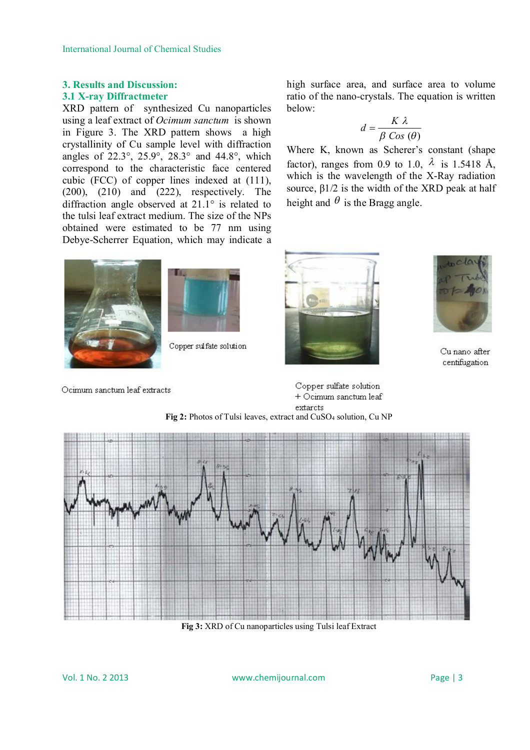### **3. Results and Discussion: 3.1 X-ray Diffractmeter**

XRD pattern of synthesized Cu nanoparticles using a leaf extract of *Ocimum sanctum* is shown in Figure 3. The XRD pattern shows a high crystallinity of Cu sample level with diffraction angles of  $22.3^\circ$ ,  $25.9^\circ$ ,  $28.3^\circ$  and  $44.8^\circ$ , which correspond to the characteristic face centered cubic (FCC) of copper lines indexed at (111), (200), (210) and (222), respectively. The diffraction angle observed at 21.1° is related to the tulsi leaf extract medium. The size of the NPs obtained were estimated to be 77 nm using Debye-Scherrer Equation, which may indicate a high surface area, and surface area to volume ratio of the nano-crystals. The equation is written below:

$$
d = \frac{K \lambda}{\beta \cos(\theta)}
$$

Where K, known as Scherer's constant (shape factor), ranges from 0.9 to 1.0,  $\lambda$  is 1.5418 Å, which is the wavelength of the X-Ray radiation source,  $\beta$ 1/2 is the width of the XRD peak at half height and  $\theta$  is the Bragg angle.





Copper sulfate solution





Cu nano after centifugation

Ocimum sanctum leaf extracts

Copper sulfate solution + Ocimum sanctum leaf extarcts





**Fig 3:** XRD of Cu nanoparticles using Tulsi leaf Extract